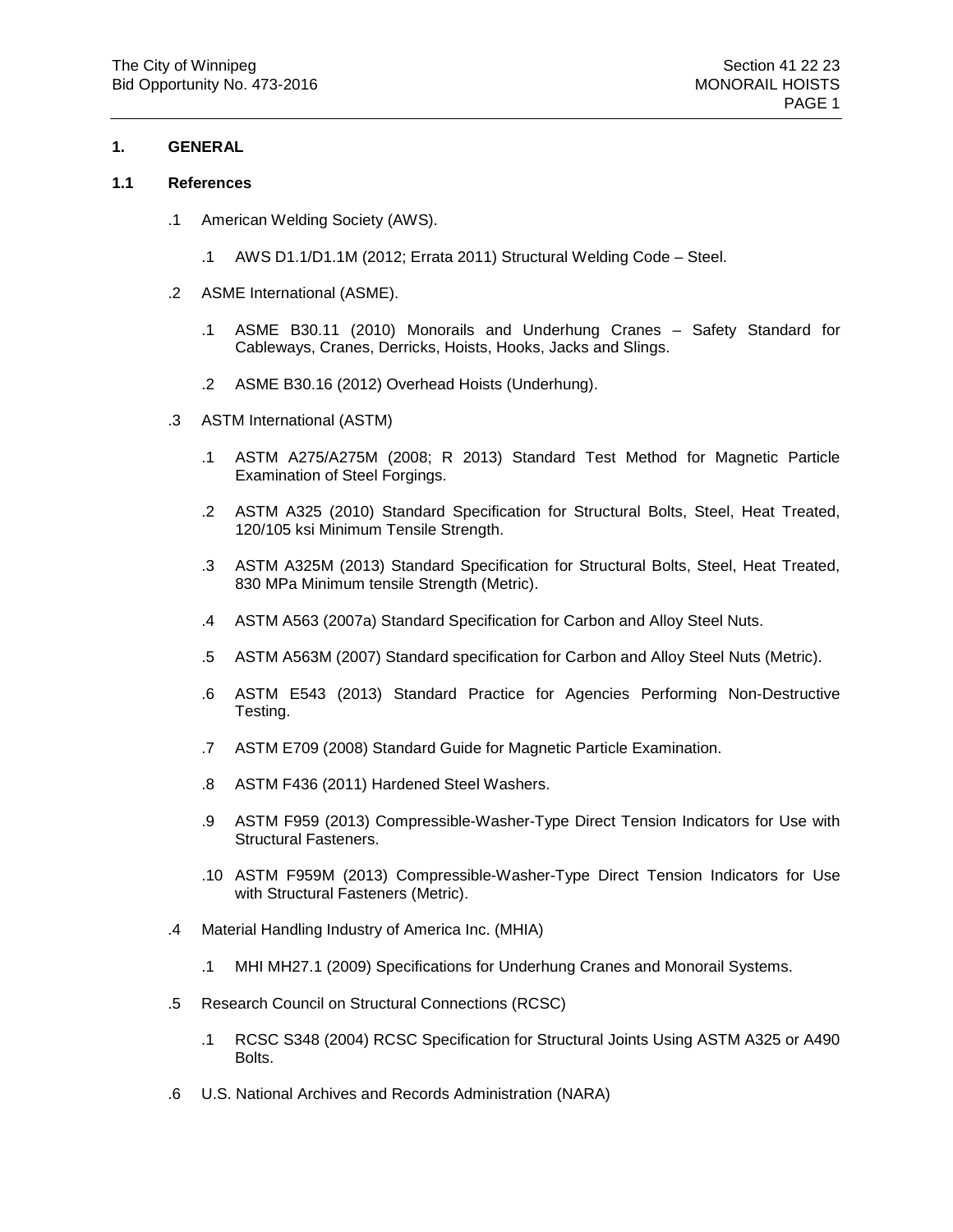### **1. GENERAL**

#### **1.1 References**

- .1 American Welding Society (AWS).
	- .1 AWS D1.1/D1.1M (2012; Errata 2011) Structural Welding Code Steel.
- .2 ASME International (ASME).
	- .1 ASME B30.11 (2010) Monorails and Underhung Cranes Safety Standard for Cableways, Cranes, Derricks, Hoists, Hooks, Jacks and Slings.
	- .2 ASME B30.16 (2012) Overhead Hoists (Underhung).
- .3 ASTM International (ASTM)
	- .1 ASTM A275/A275M (2008; R 2013) Standard Test Method for Magnetic Particle Examination of Steel Forgings.
	- .2 ASTM A325 (2010) Standard Specification for Structural Bolts, Steel, Heat Treated, 120/105 ksi Minimum Tensile Strength.
	- .3 ASTM A325M (2013) Standard Specification for Structural Bolts, Steel, Heat Treated, 830 MPa Minimum tensile Strength (Metric).
	- .4 ASTM A563 (2007a) Standard Specification for Carbon and Alloy Steel Nuts.
	- .5 ASTM A563M (2007) Standard specification for Carbon and Alloy Steel Nuts (Metric).
	- .6 ASTM E543 (2013) Standard Practice for Agencies Performing Non-Destructive Testing.
	- .7 ASTM E709 (2008) Standard Guide for Magnetic Particle Examination.
	- .8 ASTM F436 (2011) Hardened Steel Washers.
	- .9 ASTM F959 (2013) Compressible-Washer-Type Direct Tension Indicators for Use with Structural Fasteners.
	- .10 ASTM F959M (2013) Compressible-Washer-Type Direct Tension Indicators for Use with Structural Fasteners (Metric).
- .4 Material Handling Industry of America Inc. (MHIA)
	- .1 MHI MH27.1 (2009) Specifications for Underhung Cranes and Monorail Systems.
- .5 Research Council on Structural Connections (RCSC)
	- .1 RCSC S348 (2004) RCSC Specification for Structural Joints Using ASTM A325 or A490 Bolts.
- .6 U.S. National Archives and Records Administration (NARA)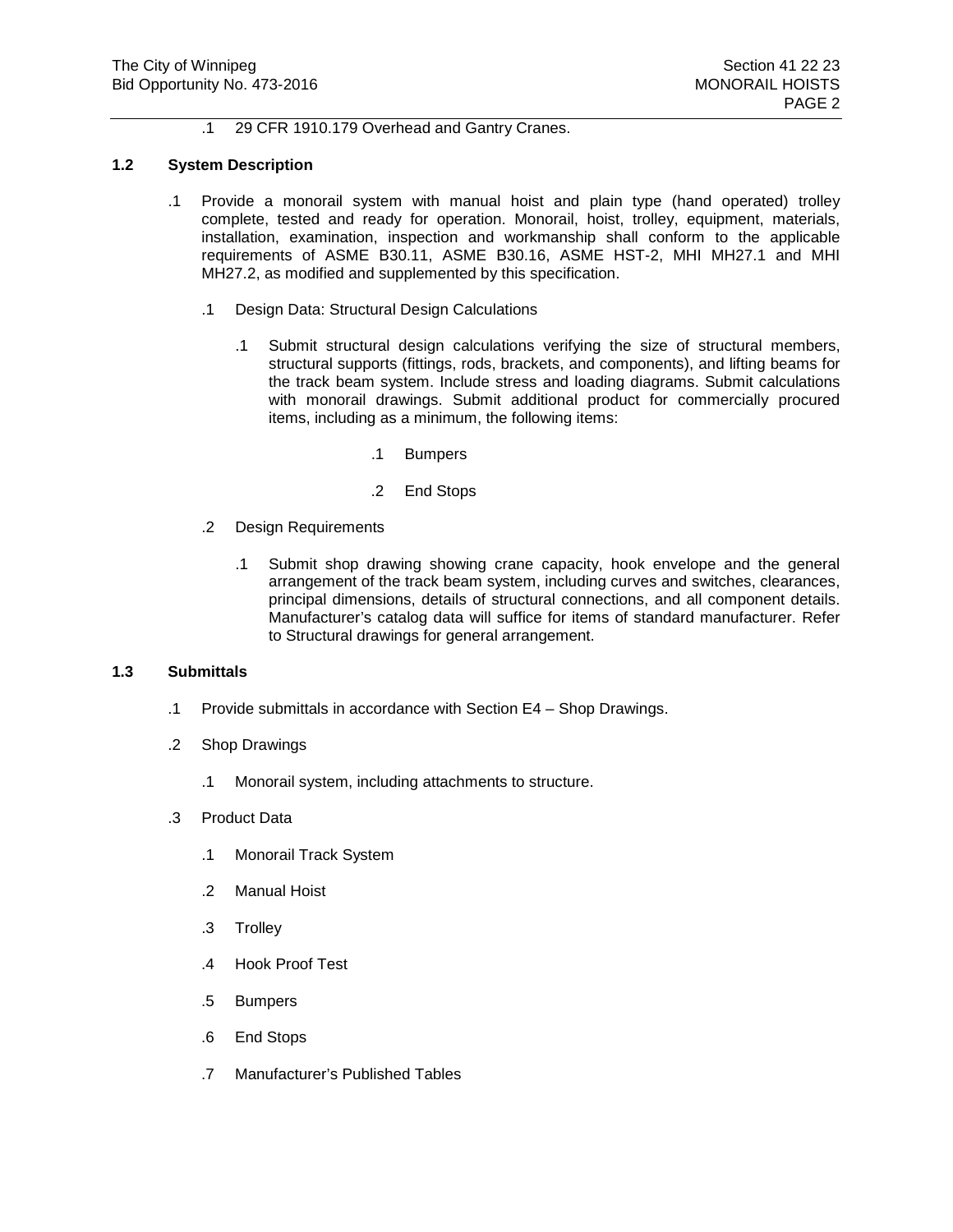.1 29 CFR 1910.179 Overhead and Gantry Cranes.

### **1.2 System Description**

- .1 Provide a monorail system with manual hoist and plain type (hand operated) trolley complete, tested and ready for operation. Monorail, hoist, trolley, equipment, materials, installation, examination, inspection and workmanship shall conform to the applicable requirements of ASME B30.11, ASME B30.16, ASME HST-2, MHI MH27.1 and MHI MH27.2, as modified and supplemented by this specification.
	- .1 Design Data: Structural Design Calculations
		- .1 Submit structural design calculations verifying the size of structural members, structural supports (fittings, rods, brackets, and components), and lifting beams for the track beam system. Include stress and loading diagrams. Submit calculations with monorail drawings. Submit additional product for commercially procured items, including as a minimum, the following items:
			- .1 Bumpers
			- .2 End Stops
	- .2 Design Requirements
		- .1 Submit shop drawing showing crane capacity, hook envelope and the general arrangement of the track beam system, including curves and switches, clearances, principal dimensions, details of structural connections, and all component details. Manufacturer's catalog data will suffice for items of standard manufacturer. Refer to Structural drawings for general arrangement.

## **1.3 Submittals**

- .1 Provide submittals in accordance with Section E4 Shop Drawings.
- .2 Shop Drawings
	- .1 Monorail system, including attachments to structure.
- .3 Product Data
	- .1 Monorail Track System
	- .2 Manual Hoist
	- .3 Trolley
	- .4 Hook Proof Test
	- .5 Bumpers
	- .6 End Stops
	- .7 Manufacturer's Published Tables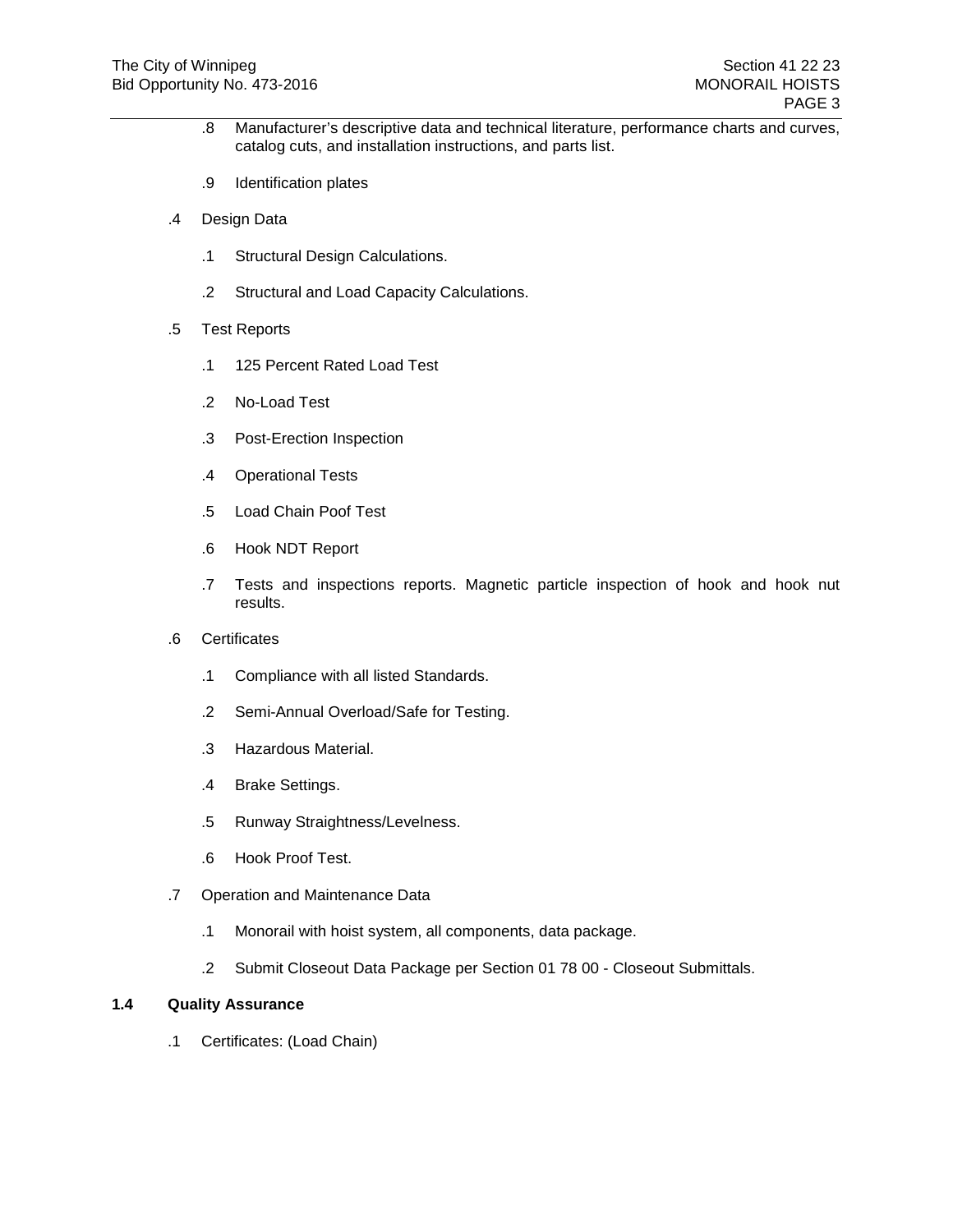- .8 Manufacturer's descriptive data and technical literature, performance charts and curves, catalog cuts, and installation instructions, and parts list.
- .9 Identification plates
- .4 Design Data
	- .1 Structural Design Calculations.
	- .2 Structural and Load Capacity Calculations.
- .5 Test Reports
	- .1 125 Percent Rated Load Test
	- .2 No-Load Test
	- .3 Post-Erection Inspection
	- .4 Operational Tests
	- .5 Load Chain Poof Test
	- .6 Hook NDT Report
	- .7 Tests and inspections reports. Magnetic particle inspection of hook and hook nut results.
- .6 Certificates
	- .1 Compliance with all listed Standards.
	- .2 Semi-Annual Overload/Safe for Testing.
	- .3 Hazardous Material.
	- .4 Brake Settings.
	- .5 Runway Straightness/Levelness.
	- .6 Hook Proof Test.
- .7 Operation and Maintenance Data
	- .1 Monorail with hoist system, all components, data package.
	- .2 Submit Closeout Data Package per Section 01 78 00 Closeout Submittals.

# **1.4 Quality Assurance**

.1 Certificates: (Load Chain)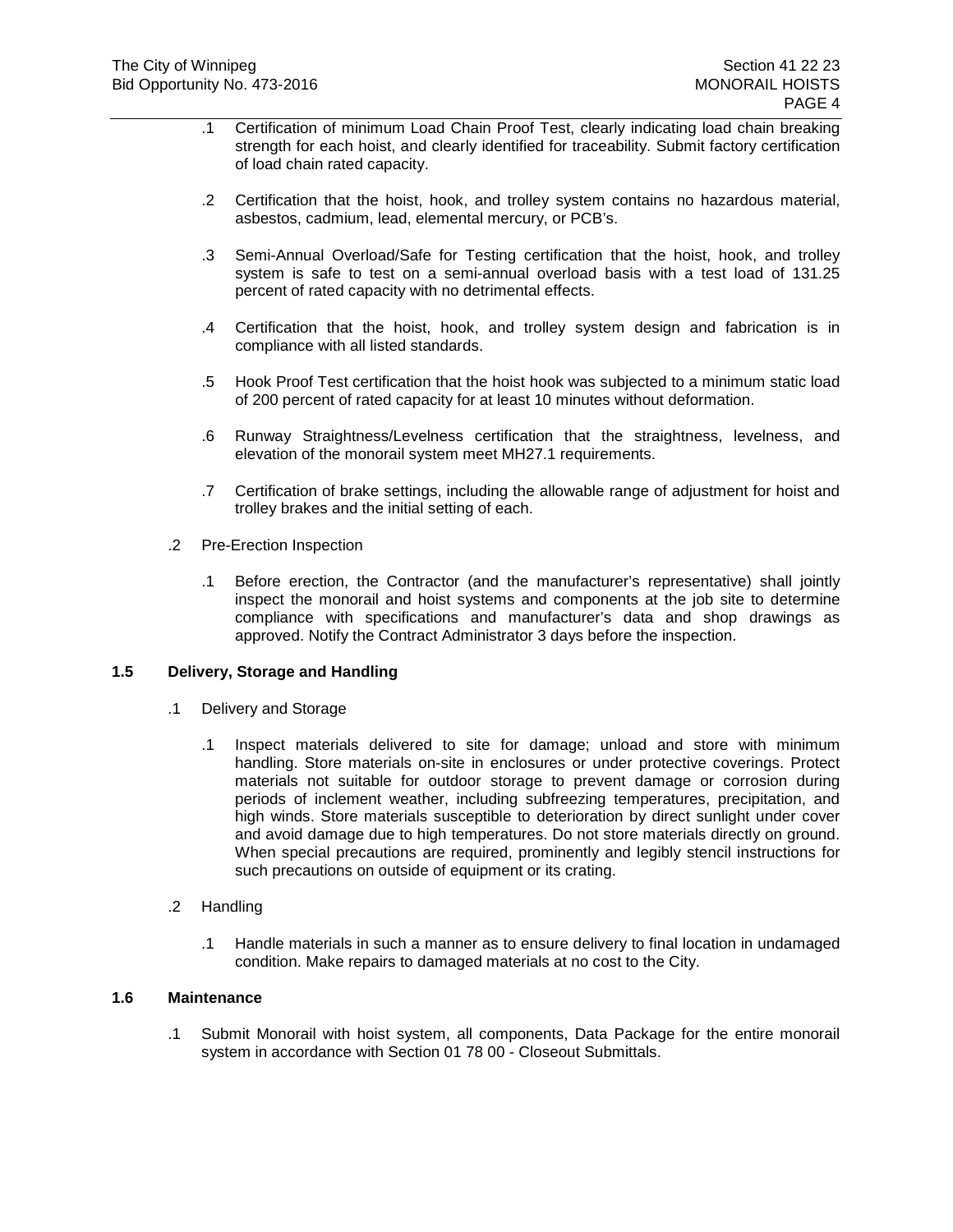- .1 Certification of minimum Load Chain Proof Test, clearly indicating load chain breaking strength for each hoist, and clearly identified for traceability. Submit factory certification of load chain rated capacity.
- .2 Certification that the hoist, hook, and trolley system contains no hazardous material, asbestos, cadmium, lead, elemental mercury, or PCB's.
- .3 Semi-Annual Overload/Safe for Testing certification that the hoist, hook, and trolley system is safe to test on a semi-annual overload basis with a test load of 131.25 percent of rated capacity with no detrimental effects.
- .4 Certification that the hoist, hook, and trolley system design and fabrication is in compliance with all listed standards.
- .5 Hook Proof Test certification that the hoist hook was subjected to a minimum static load of 200 percent of rated capacity for at least 10 minutes without deformation.
- .6 Runway Straightness/Levelness certification that the straightness, levelness, and elevation of the monorail system meet MH27.1 requirements.
- .7 Certification of brake settings, including the allowable range of adjustment for hoist and trolley brakes and the initial setting of each.
- .2 Pre-Erection Inspection
	- .1 Before erection, the Contractor (and the manufacturer's representative) shall jointly inspect the monorail and hoist systems and components at the job site to determine compliance with specifications and manufacturer's data and shop drawings as approved. Notify the Contract Administrator 3 days before the inspection.

# **1.5 Delivery, Storage and Handling**

- .1 Delivery and Storage
	- .1 Inspect materials delivered to site for damage; unload and store with minimum handling. Store materials on-site in enclosures or under protective coverings. Protect materials not suitable for outdoor storage to prevent damage or corrosion during periods of inclement weather, including subfreezing temperatures, precipitation, and high winds. Store materials susceptible to deterioration by direct sunlight under cover and avoid damage due to high temperatures. Do not store materials directly on ground. When special precautions are required, prominently and legibly stencil instructions for such precautions on outside of equipment or its crating.
- .2 Handling
	- .1 Handle materials in such a manner as to ensure delivery to final location in undamaged condition. Make repairs to damaged materials at no cost to the City.

#### **1.6 Maintenance**

.1 Submit Monorail with hoist system, all components, Data Package for the entire monorail system in accordance with Section 01 78 00 - Closeout Submittals.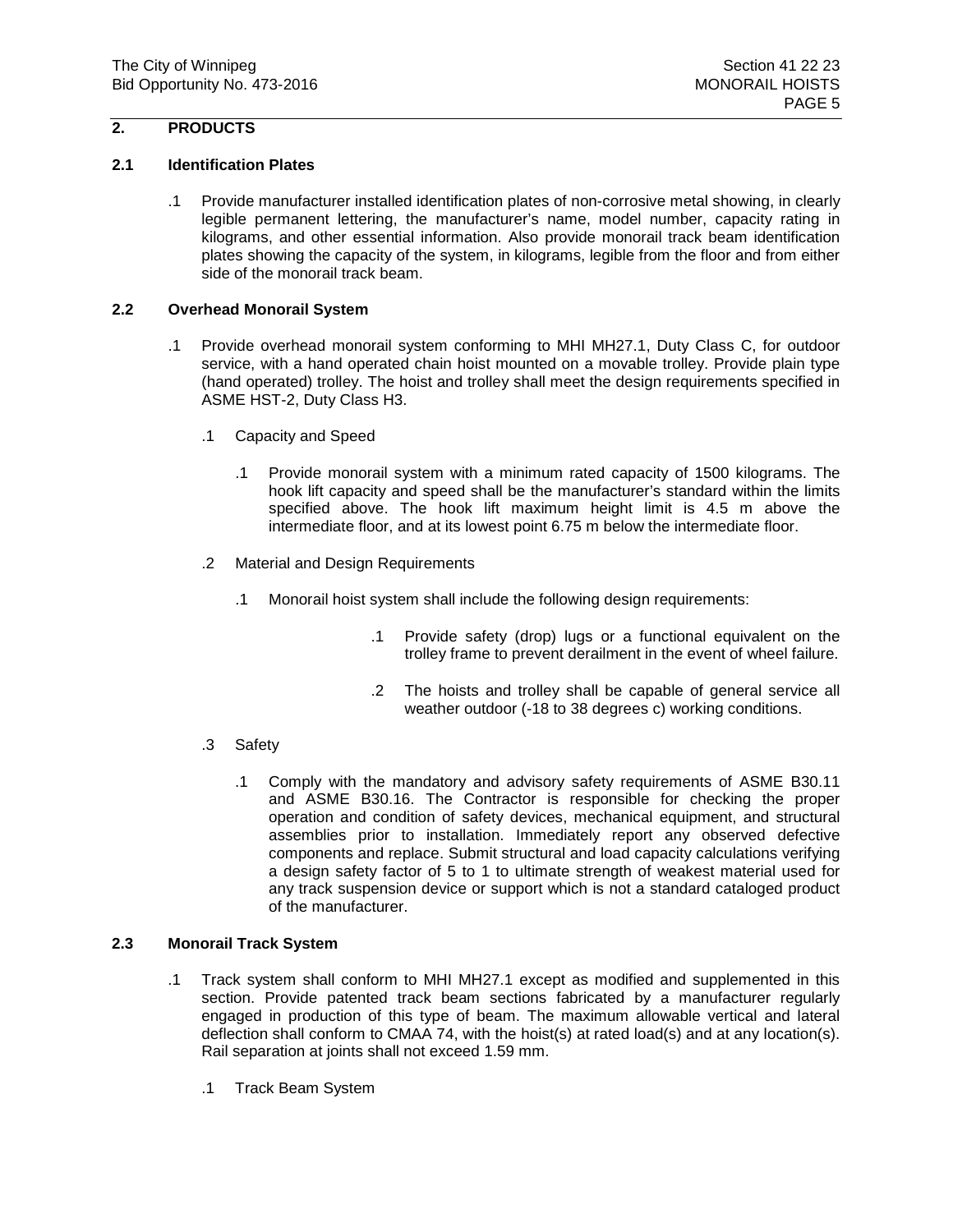# **2. PRODUCTS**

### **2.1 Identification Plates**

.1 Provide manufacturer installed identification plates of non-corrosive metal showing, in clearly legible permanent lettering, the manufacturer's name, model number, capacity rating in kilograms, and other essential information. Also provide monorail track beam identification plates showing the capacity of the system, in kilograms, legible from the floor and from either side of the monorail track beam.

#### **2.2 Overhead Monorail System**

- .1 Provide overhead monorail system conforming to MHI MH27.1, Duty Class C, for outdoor service, with a hand operated chain hoist mounted on a movable trolley. Provide plain type (hand operated) trolley. The hoist and trolley shall meet the design requirements specified in ASME HST-2, Duty Class H3.
	- .1 Capacity and Speed
		- .1 Provide monorail system with a minimum rated capacity of 1500 kilograms. The hook lift capacity and speed shall be the manufacturer's standard within the limits specified above. The hook lift maximum height limit is 4.5 m above the intermediate floor, and at its lowest point 6.75 m below the intermediate floor.
	- .2 Material and Design Requirements
		- .1 Monorail hoist system shall include the following design requirements:
			- .1 Provide safety (drop) lugs or a functional equivalent on the trolley frame to prevent derailment in the event of wheel failure.
			- .2 The hoists and trolley shall be capable of general service all weather outdoor (-18 to 38 degrees c) working conditions.
	- .3 Safety
		- .1 Comply with the mandatory and advisory safety requirements of ASME B30.11 and ASME B30.16. The Contractor is responsible for checking the proper operation and condition of safety devices, mechanical equipment, and structural assemblies prior to installation. Immediately report any observed defective components and replace. Submit structural and load capacity calculations verifying a design safety factor of 5 to 1 to ultimate strength of weakest material used for any track suspension device or support which is not a standard cataloged product of the manufacturer.

### **2.3 Monorail Track System**

- .1 Track system shall conform to MHI MH27.1 except as modified and supplemented in this section. Provide patented track beam sections fabricated by a manufacturer regularly engaged in production of this type of beam. The maximum allowable vertical and lateral deflection shall conform to CMAA 74, with the hoist(s) at rated load(s) and at any location(s). Rail separation at joints shall not exceed 1.59 mm.
	- .1 Track Beam System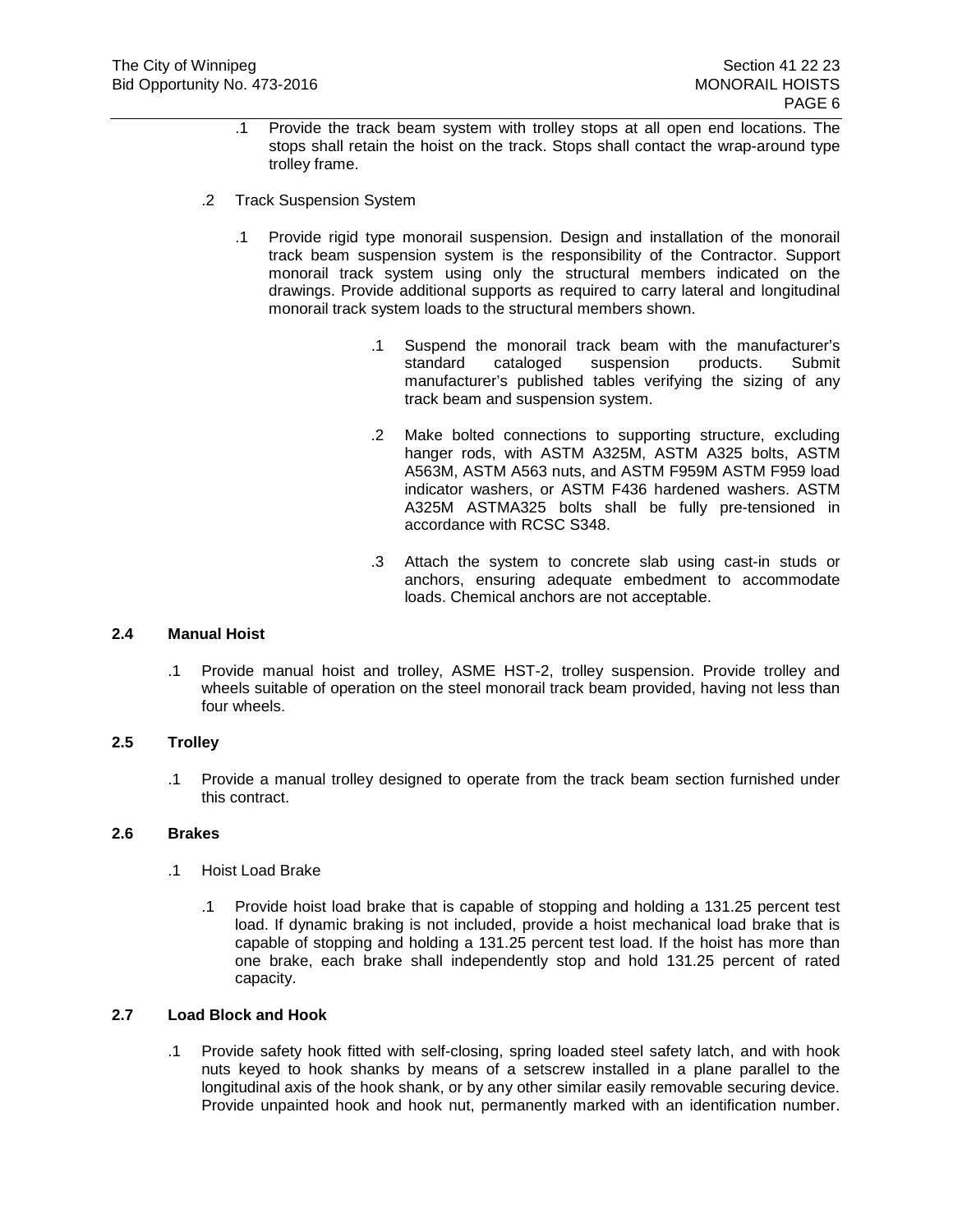- .1 Provide the track beam system with trolley stops at all open end locations. The stops shall retain the hoist on the track. Stops shall contact the wrap-around type trolley frame.
- .2 Track Suspension System
	- .1 Provide rigid type monorail suspension. Design and installation of the monorail track beam suspension system is the responsibility of the Contractor. Support monorail track system using only the structural members indicated on the drawings. Provide additional supports as required to carry lateral and longitudinal monorail track system loads to the structural members shown.
		- .1 Suspend the monorail track beam with the manufacturer's standard cataloged suspension products. Submit manufacturer's published tables verifying the sizing of any track beam and suspension system.
		- .2 Make bolted connections to supporting structure, excluding hanger rods, with ASTM A325M, ASTM A325 bolts, ASTM A563M, ASTM A563 nuts, and ASTM F959M ASTM F959 load indicator washers, or ASTM F436 hardened washers. ASTM A325M ASTMA325 bolts shall be fully pre-tensioned in accordance with RCSC S348.
		- .3 Attach the system to concrete slab using cast-in studs or anchors, ensuring adequate embedment to accommodate loads. Chemical anchors are not acceptable.

## **2.4 Manual Hoist**

.1 Provide manual hoist and trolley, ASME HST-2, trolley suspension. Provide trolley and wheels suitable of operation on the steel monorail track beam provided, having not less than four wheels.

#### **2.5 Trolley**

.1 Provide a manual trolley designed to operate from the track beam section furnished under this contract.

#### **2.6 Brakes**

- .1 Hoist Load Brake
	- .1 Provide hoist load brake that is capable of stopping and holding a 131.25 percent test load. If dynamic braking is not included, provide a hoist mechanical load brake that is capable of stopping and holding a 131.25 percent test load. If the hoist has more than one brake, each brake shall independently stop and hold 131.25 percent of rated capacity.

# **2.7 Load Block and Hook**

.1 Provide safety hook fitted with self-closing, spring loaded steel safety latch, and with hook nuts keyed to hook shanks by means of a setscrew installed in a plane parallel to the longitudinal axis of the hook shank, or by any other similar easily removable securing device. Provide unpainted hook and hook nut, permanently marked with an identification number.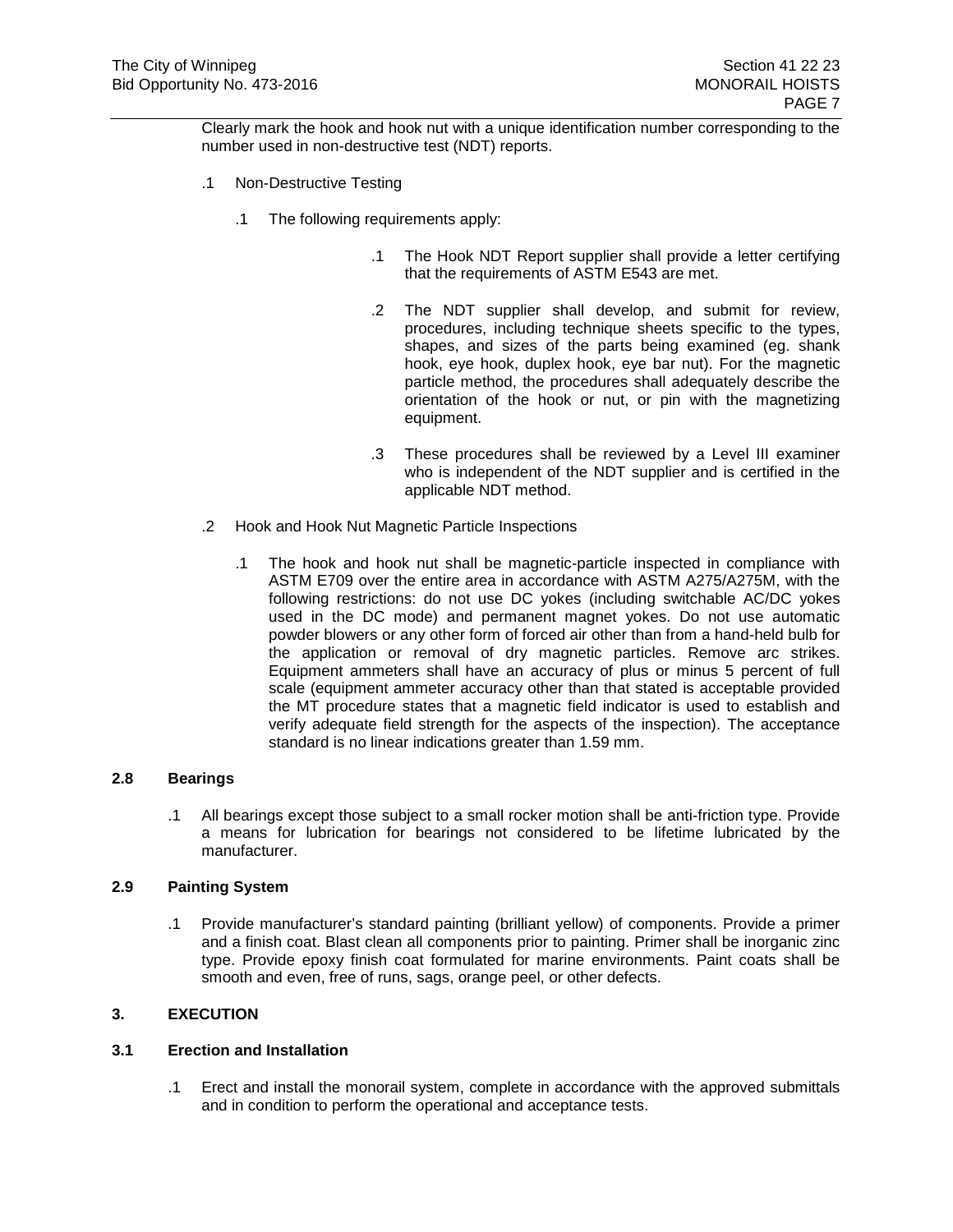Clearly mark the hook and hook nut with a unique identification number corresponding to the number used in non-destructive test (NDT) reports.

- .1 Non-Destructive Testing
	- .1 The following requirements apply:
		- .1 The Hook NDT Report supplier shall provide a letter certifying that the requirements of ASTM E543 are met.
		- .2 The NDT supplier shall develop, and submit for review, procedures, including technique sheets specific to the types, shapes, and sizes of the parts being examined (eg. shank hook, eye hook, duplex hook, eye bar nut). For the magnetic particle method, the procedures shall adequately describe the orientation of the hook or nut, or pin with the magnetizing equipment.
		- .3 These procedures shall be reviewed by a Level III examiner who is independent of the NDT supplier and is certified in the applicable NDT method.
- .2 Hook and Hook Nut Magnetic Particle Inspections
	- .1 The hook and hook nut shall be magnetic-particle inspected in compliance with ASTM E709 over the entire area in accordance with ASTM A275/A275M, with the following restrictions: do not use DC yokes (including switchable AC/DC yokes used in the DC mode) and permanent magnet yokes. Do not use automatic powder blowers or any other form of forced air other than from a hand-held bulb for the application or removal of dry magnetic particles. Remove arc strikes. Equipment ammeters shall have an accuracy of plus or minus 5 percent of full scale (equipment ammeter accuracy other than that stated is acceptable provided the MT procedure states that a magnetic field indicator is used to establish and verify adequate field strength for the aspects of the inspection). The acceptance standard is no linear indications greater than 1.59 mm.

# **2.8 Bearings**

.1 All bearings except those subject to a small rocker motion shall be anti-friction type. Provide a means for lubrication for bearings not considered to be lifetime lubricated by the manufacturer.

#### **2.9 Painting System**

.1 Provide manufacturer's standard painting (brilliant yellow) of components. Provide a primer and a finish coat. Blast clean all components prior to painting. Primer shall be inorganic zinc type. Provide epoxy finish coat formulated for marine environments. Paint coats shall be smooth and even, free of runs, sags, orange peel, or other defects.

### **3. EXECUTION**

#### **3.1 Erection and Installation**

.1 Erect and install the monorail system, complete in accordance with the approved submittals and in condition to perform the operational and acceptance tests.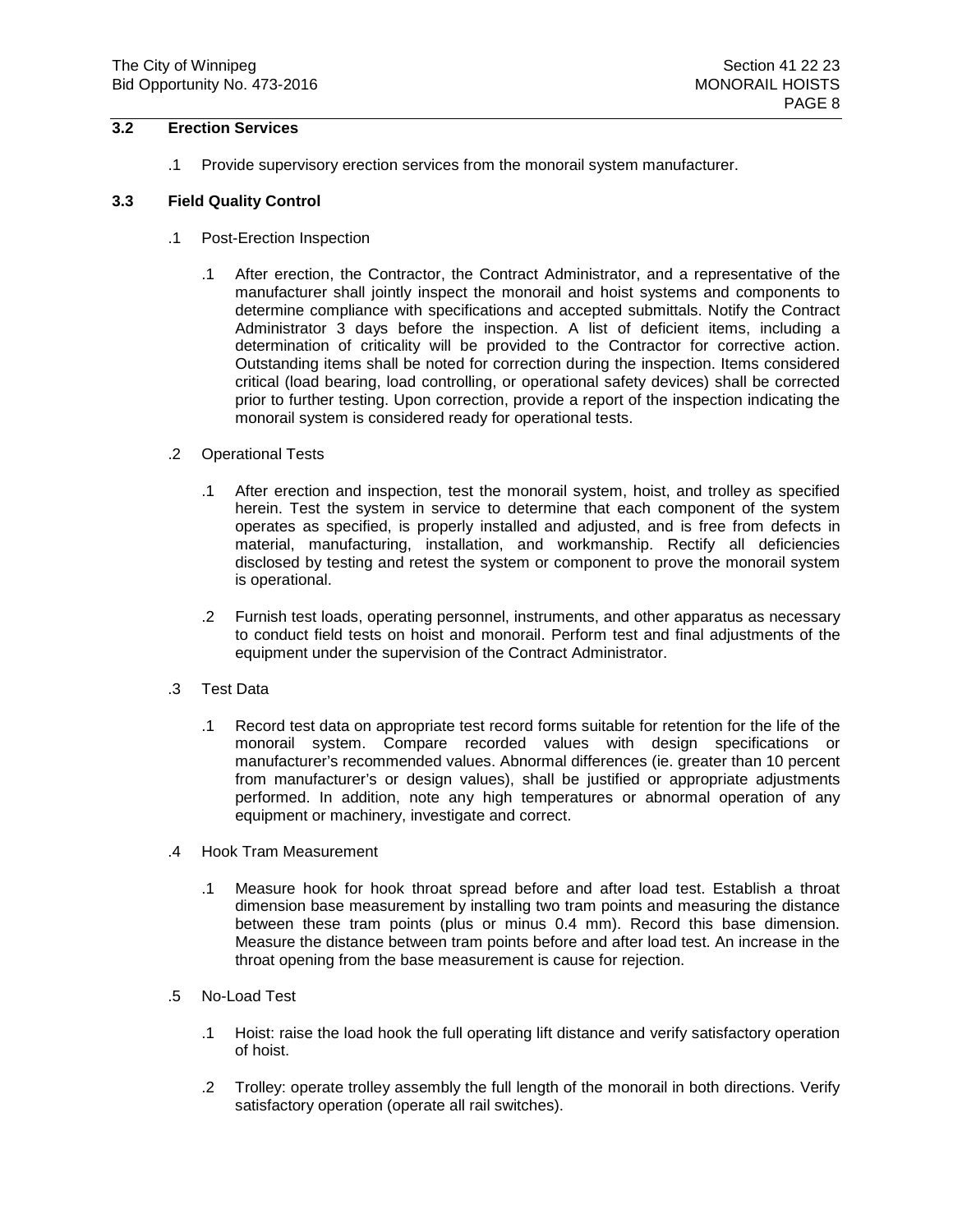## **3.2 Erection Services**

.1 Provide supervisory erection services from the monorail system manufacturer.

#### **3.3 Field Quality Control**

- .1 Post-Erection Inspection
	- .1 After erection, the Contractor, the Contract Administrator, and a representative of the manufacturer shall jointly inspect the monorail and hoist systems and components to determine compliance with specifications and accepted submittals. Notify the Contract Administrator 3 days before the inspection. A list of deficient items, including a determination of criticality will be provided to the Contractor for corrective action. Outstanding items shall be noted for correction during the inspection. Items considered critical (load bearing, load controlling, or operational safety devices) shall be corrected prior to further testing. Upon correction, provide a report of the inspection indicating the monorail system is considered ready for operational tests.
- .2 Operational Tests
	- .1 After erection and inspection, test the monorail system, hoist, and trolley as specified herein. Test the system in service to determine that each component of the system operates as specified, is properly installed and adjusted, and is free from defects in material, manufacturing, installation, and workmanship. Rectify all deficiencies disclosed by testing and retest the system or component to prove the monorail system is operational.
	- .2 Furnish test loads, operating personnel, instruments, and other apparatus as necessary to conduct field tests on hoist and monorail. Perform test and final adjustments of the equipment under the supervision of the Contract Administrator.
- .3 Test Data
	- .1 Record test data on appropriate test record forms suitable for retention for the life of the monorail system. Compare recorded values with design specifications or manufacturer's recommended values. Abnormal differences (ie. greater than 10 percent from manufacturer's or design values), shall be justified or appropriate adjustments performed. In addition, note any high temperatures or abnormal operation of any equipment or machinery, investigate and correct.
- .4 Hook Tram Measurement
	- .1 Measure hook for hook throat spread before and after load test. Establish a throat dimension base measurement by installing two tram points and measuring the distance between these tram points (plus or minus 0.4 mm). Record this base dimension. Measure the distance between tram points before and after load test. An increase in the throat opening from the base measurement is cause for rejection.
- .5 No-Load Test
	- .1 Hoist: raise the load hook the full operating lift distance and verify satisfactory operation of hoist.
	- .2 Trolley: operate trolley assembly the full length of the monorail in both directions. Verify satisfactory operation (operate all rail switches).